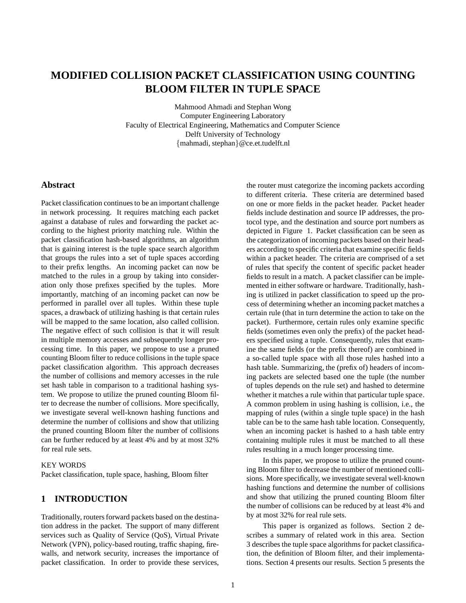# **MODIFIED COLLISION PACKET CLASSIFICATION USING COUNTING BLOOM FILTER IN TUPLE SPACE**

Mahmood Ahmadi and Stephan Wong Computer Engineering Laboratory Faculty of Electrical Engineering, Mathematics and Computer Science Delft University of Technology {mahmadi, stephan}@ce.et.tudelft.nl

### **Abstract**

Packet classification continues to be an important challenge in network processing. It requires matching each packet against a database of rules and forwarding the packet according to the highest priority matching rule. Within the packet classification hash-based algorithms, an algorithm that is gaining interest is the tuple space search algorithm that groups the rules into a set of tuple spaces according to their prefix lengths. An incoming packet can now be matched to the rules in a group by taking into consideration only those prefixes specified by the tuples. More importantly, matching of an incoming packet can now be performed in parallel over all tuples. Within these tuple spaces, a drawback of utilizing hashing is that certain rules will be mapped to the same location, also called collision. The negative effect of such collision is that it will result in multiple memory accesses and subsequently longer processing time. In this paper, we propose to use a pruned counting Bloom filter to reduce collisions in the tuple space packet classification algorithm. This approach decreases the number of collisions and memory accesses in the rule set hash table in comparison to a traditional hashing system. We propose to utilize the pruned counting Bloom filter to decrease the number of collisions. More specifically, we investigate several well-known hashing functions and determine the number of collisions and show that utilizing the pruned counting Bloom filter the number of collisions can be further reduced by at least 4% and by at most 32% for real rule sets.

### KEY WORDS

Packet classification, tuple space, hashing, Bloom filter

# **1 INTRODUCTION**

Traditionally, routers forward packets based on the destination address in the packet. The support of many different services such as Quality of Service (QoS), Virtual Private Network (VPN), policy-based routing, traffic shaping, firewalls, and network security, increases the importance of packet classification. In order to provide these services,

the router must categorize the incoming packets according to different criteria. These criteria are determined based on one or more fields in the packet header. Packet header fields include destination and source IP addresses, the protocol type, and the destination and source port numbers as depicted in Figure 1. Packet classification can be seen as the categorization of incoming packets based on their headers according to specific criteria that examine specific fields within a packet header. The criteria are comprised of a set of rules that specify the content of specific packet header fields to result in a match. A packet classifier can be implemented in either software or hardware. Traditionally, hashing is utilized in packet classification to speed up the process of determining whether an incoming packet matches a certain rule (that in turn determine the action to take on the packet). Furthermore, certain rules only examine specific fields (sometimes even only the prefix) of the packet headers specified using a tuple. Consequently, rules that examine the same fields (or the prefix thereof) are combined in a so-called tuple space with all those rules hashed into a hash table. Summarizing, the (prefix of) headers of incoming packets are selected based one the tuple (the number of tuples depends on the rule set) and hashed to determine whether it matches a rule within that particular tuple space. A common problem in using hashing is collision, i.e., the mapping of rules (within a single tuple space) in the hash table can be to the same hash table location. Consequently, when an incoming packet is hashed to a hash table entry containing multiple rules it must be matched to all these rules resulting in a much longer processing time.

In this paper, we propose to utilize the pruned counting Bloom filter to decrease the number of mentioned collisions. More specifically, we investigate several well-known hashing functions and determine the number of collisions and show that utilizing the pruned counting Bloom filter the number of collisions can be reduced by at least 4% and by at most 32% for real rule sets.

This paper is organized as follows. Section 2 describes a summary of related work in this area. Section 3 describes the tuple space algorithms for packet classification, the definition of Bloom filter, and their implementations. Section 4 presents our results. Section 5 presents the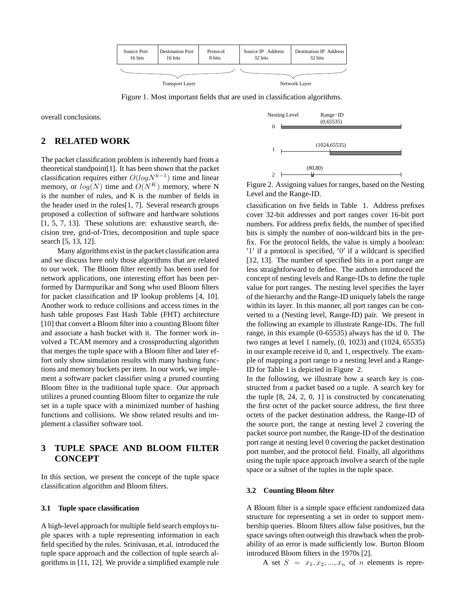

Figure 1. Most important fields that are used in classification algorithms.

overall conclusions.

### **2 RELATED WORK**

The packet classification problem is inherently hard from a theoretical standpoint[1]. It has been shown that the packet classification requires either  $O(logN^{k-1})$  time and linear memory, or  $log(N)$  time and  $O(N^K)$  memory, where N is the number of rules, and K is the number of fields in the header used in the rules $[1, 7]$ . Several research groups proposed a collection of software and hardware solutions [1, 5, 7, 13]. These solutions are: exhaustive search, decision tree, grid-of-Tries, decomposition and tuple space search [5, 13, 12].

Many algorithms exist in the packet classification area and we discuss here only those algorithms that are related to our work. The Bloom filter recently has been used for network applications, one interesting effort has been performed by Darmpurikar and Song who used Bloom filters for packet classification and IP lookup problems [4, 10]. Another work to reduce collisions and access times in the hash table proposes Fast Hash Table (FHT) architecture [10] that convert a Bloom filter into a counting Bloom filter and associate a hash bucket with it. The former work involved a TCAM memory and a crossproducting algorithm that merges the tuple space with a Bloom filter and later effort only show simulation results with many hashing functions and memory buckets per item. In our work, we implement a software packet classifier using a pruned counting Bloom filter in the traditional tuple space. Our approach utilizes a pruned counting Bloom filter to organize the rule set in a tuple space with a minimized number of hashing functions and collisions. We show related results and implement a classifier software tool.

# **3 TUPLE SPACE AND BLOOM FILTER CONCEPT**

In this section, we present the concept of the tuple space classification algorithm and Bloom filters.

#### **3.1 Tuple space classification**

A high-level approach for multiple field search employs tuple spaces with a tuple representing information in each field specified by the rules. Srinivasan, et.al. introduced the tuple space approach and the collection of tuple search algorithms in [11, 12]. We provide a simplified example rule



Figure 2. Assigning values for ranges, based on the Nesting Level and the Range-ID.

classification on five fields in Table 1. Address prefixes cover 32-bit addresses and port ranges cover 16-bit port numbers. For address prefix fields, the number of specified bits is simply the number of non-wildcard bits in the prefix. For the protocol fields, the value is simply a boolean: '1' if a protocol is specified, '0' if a wildcard is specified [12, 13]. The number of specified bits in a port range are less straightforward to define. The authors introduced the concept of nesting levels and Range-IDs to define the tuple value for port ranges. The nesting level specifies the layer of the hierarchy and the Range-ID uniquely labels the range within its layer. In this manner, all port ranges can be converted to a (Nesting level, Range-ID) pair. We present in the following an example to illustrate Range-IDs. The full range, in this example (0-65535) always has the id 0. The two ranges at level 1 namely, (0, 1023) and (1024, 65535) in our example receive id 0, and 1, respectively. The example of mapping a port range to a nesting level and a Range-ID for Table 1 is depicted in Figure 2.

In the following, we illustrate how a search key is constructed from a packet based on a tuple. A search key for the tuple  $[8, 24, 2, 0, 1]$  is constructed by concatenating the first octet of the packet source address, the first three octets of the packet destination address, the Range-ID of the source port, the range at nesting level 2 covering the packet source port number, the Range-ID of the destination port range at nesting level 0 covering the packet destination port number, and the protocol field. Finally, all algorithms using the tuple space approach involve a search of the tuple space or a subset of the tuples in the tuple space.

#### **3.2 Counting Bloom filter**

A Bloom filter is a simple space efficient randomized data structure for representing a set in order to support membership queries. Bloom filters allow false positives, but the space savings often outweigh this drawback when the probability of an error is made sufficiently low. Burton Bloom introduced Bloom filters in the 1970s [2].

A set  $S = x_1, x_2, ..., x_n$  of *n* elements is repre-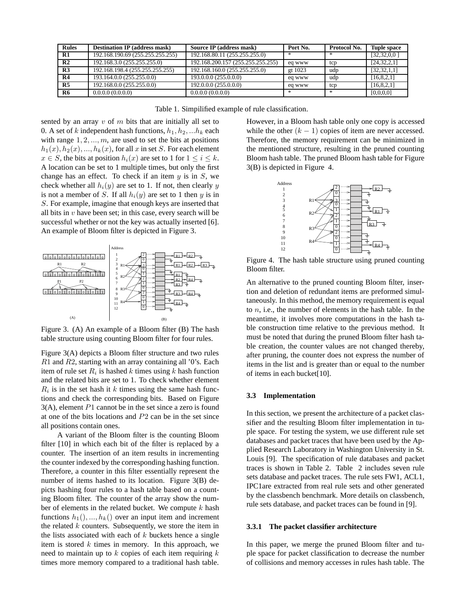| <b>Rules</b>   | <b>Destination IP (address mask)</b> | Source IP (address mask)          | Port No. | Protocol No. | <b>Tuple space</b> |
|----------------|--------------------------------------|-----------------------------------|----------|--------------|--------------------|
| R1             | 192.168.190.69 (255.255.255.255)     | 192.168.80.11 (255.255.255.0)     | -de      |              | [32, 32, 0, 0]     |
| R <sub>2</sub> | 192.168.3.0 (255.255.255.0)          | 192.168.200.157 (255.255.255.255) | eg www   | tcp          | [24, 32, 2, 1]     |
| R <sub>3</sub> | 192.168.198.4 (255.255.255.255)      | 192.168.160.0 (255.255.255.0)     | et 1023  | udp          | [32, 32, 1, 1]     |
| R <sub>4</sub> | 193.164.0.0 (255.255.0.0)            | 193.0.0.0 (255.0.0.0)             | eg www   | udp          | [16, 8, 2, 1]      |
| R <sub>5</sub> | 192.168.0.0 (255.255.0.0)            | 192.0.0.0 (255.0.0.0)             | eq www   | tcp          | [16, 8, 2, 1]      |
| R6             | 0.0.0.0(0.0.0.0)                     | 0.0.0.0(0.0.0.0)                  | -de      |              | [0,0,0,0]          |

Table 1. Simpilified example of rule classification.

sented by an array  $v$  of  $m$  bits that are initially all set to 0. A set of k independent hash functions,  $h_1, h_2, ... h_k$  each with range  $1, 2, ..., m$ , are used to set the bits at positions  $h_1(x), h_2(x), ..., h_k(x)$ , for all x in set S. For each element  $x \in S$ , the bits at position  $h_i(x)$  are set to 1 for  $1 \le i \le k$ . A location can be set to 1 multiple times, but only the first change has an effect. To check if an item  $y$  is in  $S$ , we check whether all  $h_i(y)$  are set to 1. If not, then clearly y is not a member of S. If all  $h_i(y)$  are set to 1 then y is in S. For example, imagine that enough keys are inserted that all bits in  $v$  have been set; in this case, every search will be successful whether or not the key was actually inserted [6]. An example of Bloom filter is depicted in Figure 3.



Figure 3. (A) An example of a Bloom filter (B) The hash table structure using counting Bloom filter for four rules.

Figure 3(A) depicts a Bloom filter structure and two rules  $R1$  and  $R2$ , starting with an array containing all '0's. Each item of rule set  $R_i$  is hashed k times using k hash function and the related bits are set to 1. To check whether element  $R_i$  is in the set hash it k times using the same hash functions and check the corresponding bits. Based on Figure 3(A), element P1 cannot be in the set since a zero is found at one of the bits locations and P2 can be in the set since all positions contain ones.

A variant of the Bloom filter is the counting Bloom filter [10] in which each bit of the filter is replaced by a counter. The insertion of an item results in incrementing the counter indexed by the corresponding hashing function. Therefore, a counter in this filter essentially represent the number of items hashed to its location. Figure 3(B) depicts hashing four rules to a hash table based on a counting Bloom filter. The counter of the array show the number of elements in the related bucket. We compute  $k$  hash functions  $h_1(),..., h_k()$  over an input item and increment the related  $k$  counters. Subsequently, we store the item in the lists associated with each of  $k$  buckets hence a single item is stored  $k$  times in memory. In this approach, we need to maintain up to  $k$  copies of each item requiring  $k$ times more memory compared to a traditional hash table.

However, in a Bloom hash table only one copy is accessed while the other  $(k - 1)$  copies of item are never accessed. Therefore, the memory requirement can be minimized in the mentioned structure, resulting in the pruned counting Bloom hash table. The pruned Bloom hash table for Figure 3(B) is depicted in Figure 4.



Figure 4. The hash table structure using pruned counting Bloom filter.

An alternative to the pruned counting Bloom filter, insertion and deletion of redundant items are preformed simultaneously. In this method, the memory requirement is equal to  $n$ , i.e., the number of elements in the hash table. In the meantime, it involves more computations in the hash table construction time relative to the previous method. It must be noted that during the pruned Bloom filter hash table creation, the counter values are not changed thereby, after pruning, the counter does not express the number of items in the list and is greater than or equal to the number of items in each bucket[10].

#### **3.3 Implementation**

In this section, we present the architecture of a packet classifier and the resulting Bloom filter implementation in tuple space. For testing the system, we use different rule set databases and packet traces that have been used by the Applied Research Laboratory in Washington University in St. Louis [9]. The specification of rule databases and packet traces is shown in Table 2. Table 2 includes seven rule sets database and packet traces. The rule sets FW1, ACL1, IPC1are extracted from real rule sets and other generated by the classbench benchmark. More details on classbench, rule sets database, and packet traces can be found in [9].

#### **3.3.1 The packet classifier architecture**

In this paper, we merge the pruned Bloom filter and tuple space for packet classification to decrease the number of collisions and memory accesses in rules hash table. The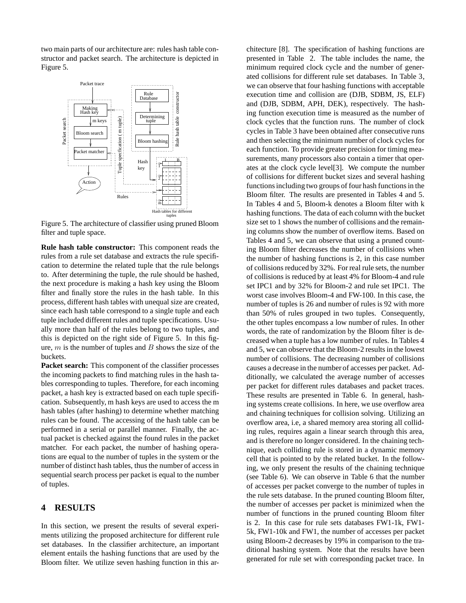two main parts of our architecture are: rules hash table constructor and packet search. The architecture is depicted in Figure 5.



Figure 5. The architecture of classifier using pruned Bloom filter and tuple space.

**Rule hash table constructor:** This component reads the rules from a rule set database and extracts the rule specification to determine the related tuple that the rule belongs to. After determining the tuple, the rule should be hashed, the next procedure is making a hash key using the Bloom filter and finally store the rules in the hash table. In this process, different hash tables with unequal size are created, since each hash table correspond to a single tuple and each tuple included different rules and tuple specifications. Usually more than half of the rules belong to two tuples, and this is depicted on the right side of Figure 5. In this figure,  $m$  is the number of tuples and  $B$  shows the size of the buckets.

**Packet search:** This component of the classifier processes the incoming packets to find matching rules in the hash tables corresponding to tuples. Therefore, for each incoming packet, a hash key is extracted based on each tuple specification. Subsequently, m hash keys are used to access the m hash tables (after hashing) to determine whether matching rules can be found. The accessing of the hash table can be performed in a serial or parallel manner. Finally, the actual packet is checked against the found rules in the packet matcher. For each packet, the number of hashing operations are equal to the number of tuples in the system or the number of distinct hash tables, thus the number of access in sequential search process per packet is equal to the number of tuples.

## **4 RESULTS**

In this section, we present the results of several experiments utilizing the proposed architecture for different rule set databases. In the classifier architecture, an important element entails the hashing functions that are used by the Bloom filter. We utilize seven hashing function in this architecture [8]. The specification of hashing functions are presented in Table 2. The table includes the name, the minimum required clock cycle and the number of generated collisions for different rule set databases. In Table 3, we can observe that four hashing functions with acceptable execution time and collision are (DJB, SDBM, JS, ELF) and (DJB, SDBM, APH, DEK), respectively. The hashing function execution time is measured as the number of clock cycles that the function runs. The number of clock cycles in Table 3 have been obtained after consecutive runs and then selecting the minimum number of clock cycles for each function. To provide greater precision for timing measurements, many processors also contain a timer that operates at the clock cycle level[3]. We compute the number of collisions for different bucket sizes and several hashing functions including two groups of four hash functions in the Bloom filter. The results are presented in Tables 4 and 5. In Tables 4 and 5, Bloom-k denotes a Bloom filter with k hashing functions. The data of each column with the bucket size set to 1 shows the number of collisions and the remaining columns show the number of overflow items. Based on Tables 4 and 5, we can observe that using a pruned counting Bloom filter decreases the number of collisions when the number of hashing functions is 2, in this case number of collisions reduced by 32%. For real rule sets, the number of collisions is reduced by at least 4% for Bloom-4 and rule set IPC1 and by 32% for Bloom-2 and rule set IPC1. The worst case involves Bloom-4 and FW-100. In this case, the number of tuples is 26 and number of rules is 92 with more than 50% of rules grouped in two tuples. Consequently, the other tuples encompass a low number of rules. In other words, the rate of randomization by the Bloom filter is decreased when a tuple has a low number of rules. In Tables 4 and 5, we can observe that the Bloom-2 results in the lowest number of collisions. The decreasing number of collisions causes a decrease in the number of accesses per packet. Additionally, we calculated the average number of accesses per packet for different rules databases and packet traces. These results are presented in Table 6. In general, hashing systems create collisions. In here, we use overflow area and chaining techniques for collision solving. Utilizing an overflow area, i.e, a shared memory area storing all colliding rules, requires again a linear search through this area, and is therefore no longer considered. In the chaining technique, each colliding rule is stored in a dynamic memory cell that is pointed to by the related bucket. In the following, we only present the results of the chaining technique (see Table 6). We can observe in Table 6 that the number of accesses per packet converge to the number of tuples in the rule sets database. In the pruned counting Bloom filter, the number of accesses per packet is minimized when the number of functions in the pruned counting Bloom filter is 2. In this case for rule sets databases FW1-1k, FW1- 5k, FW1-10k and FW1, the number of accesses per packet using Bloom-2 decreases by 19% in comparison to the traditional hashing system. Note that the results have been generated for rule set with corresponding packet trace. In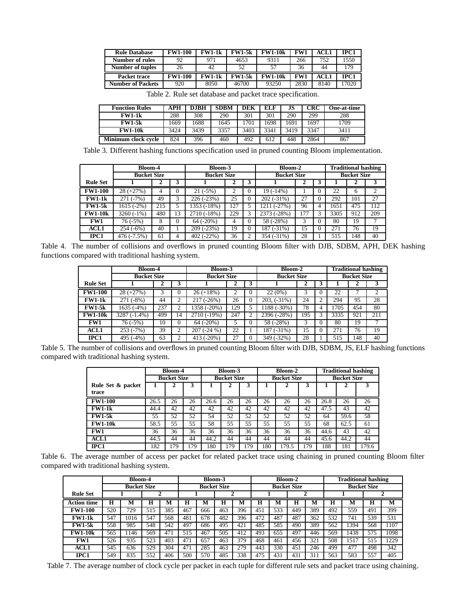| <b>Rule Database</b>     | <b>FW1-100</b> | <b>FW1-1k</b> | <b>FW1-5k</b> | <b>FW1-10k</b> | FW1  | ACL 1 | IPC1 |  |
|--------------------------|----------------|---------------|---------------|----------------|------|-------|------|--|
| Number of rules          | 92             | 971           | 4653          | 9311           | 266  | 752   | 1550 |  |
| <b>Number of tuples</b>  | 26             | 42            | 52            | 57             | 36   | 44    | 79ء  |  |
| Packet trace             | <b>FW1-100</b> | <b>FW1-1k</b> | <b>FW1-5k</b> | <b>FW1-10k</b> | FW1  | ACL1  | IPC1 |  |
| <b>Number of Packets</b> | 920            | 8050          | 46700         | 93250          | 2830 | 8140  | 7020 |  |

Table 2. Rule set database and packet trace specification.

| <b>Function Rules</b> | APH  | <b>DJBH</b> | <b>SDBM</b> | DEK  | ELF  | JS   | CRC  | One-at-time |
|-----------------------|------|-------------|-------------|------|------|------|------|-------------|
| <b>FW1-1k</b>         | 288  | 308         | 290         | 301  | 301  | 290  | 299  | 288         |
| <b>FW1-5k</b>         | 1669 | 1688        | 1645        | 701  | 1698 | 1691 | 1697 | 1709        |
| <b>FW1-10k</b>        | 3424 | 3439        | 3357        | 3403 | 3341 | 3419 | 3347 | 3411        |
| Minimum clock cycle   | 824  | 396         | 460         | 492  | 612  | 448  | 2864 | 867         |

Table 3. Different hashing functions specification used in pruned counting Bloom implementation.

|                 | <b>Bloom-4</b>     |     |          | Bloom-3            |     |   | Bloom-2            | <b>Traditional hashing</b> |                    |     |     |  |
|-----------------|--------------------|-----|----------|--------------------|-----|---|--------------------|----------------------------|--------------------|-----|-----|--|
|                 | <b>Bucket Size</b> |     |          | <b>Bucket Size</b> |     |   | <b>Bucket Size</b> |                            | <b>Bucket Size</b> |     |     |  |
| <b>Rule Set</b> |                    |     |          |                    |     | 3 |                    |                            |                    |     |     |  |
| <b>FW1-100</b>  | $28 (+27%)$        | 4   |          | $21(-5%)$          | ↑   |   | 19 (-14%)          |                            | 22                 | 6   | ∍   |  |
| $FW1-1k$        | 271 (-7%)          | 49  |          | 226 (-23%)         | 25  |   | $202(-31\%)$       | 27                         | 292                | 101 | 27  |  |
| $FW1-5k$        | 1615 (-2%)         | 215 |          | 1353 (-18%)        | 127 |   | 211 (-27%)         | 96                         | 1651               | 475 | 112 |  |
| <b>FW1-10k</b>  | $3260(-1%)$        | 480 | 13       | 2710 (-18%)        | 229 |   | 2373 (-28%)        |                            | 3305               | 912 | 209 |  |
| FW1             | 76 (-5%)           | 8   | $\theta$ | $64 (-20\%)$       | 4   | 0 | 58 (-28%)          | 3                          | 80                 | 19  | 7   |  |
| <b>ACL1</b>     | 254 (-6%)          | 40  |          | 209 (-23%)         | 19  |   | 187 (-31%)         | 15                         | 271                | 76  | 19  |  |
| IPC1            | 476 (-7.5%)        | 61  | 4        | 402 (-22%)         | 36  |   | 354 (-31%)         | 28                         | 515                | 148 | 40  |  |

Table 4. The number of collisions and overflows in pruned counting Bloom filter with DJB, SDBM, APH, DEK hashing functions compared with traditional hashing system.

|                 | <b>Bloom-4</b>     |     |          | Bloom-3            |     |          | Bloom-2                  |     | <b>Traditional hashing</b> |      |     |     |
|-----------------|--------------------|-----|----------|--------------------|-----|----------|--------------------------|-----|----------------------------|------|-----|-----|
|                 | <b>Bucket Size</b> |     |          | <b>Bucket Size</b> |     |          | <b>Bucket Size</b>       |     | <b>Bucket Size</b>         |      |     |     |
| <b>Rule Set</b> |                    |     |          |                    | ∠   | 3        |                          |     |                            |      |     |     |
| <b>FW1-100</b>  | $28 (+27%)$        |     | $\Omega$ | $26 (+18%)$        | 2   | $\Omega$ | 22(0%)                   | 3   |                            | 22   |     | ↑   |
| $FW1-1k$        | $271(-8%)$         | 44  |          | $217(-26%)$        | 26  | $\theta$ | $203, (-31\%)$           | 24  |                            | 294  | 95  | 28  |
| <b>FW1-5k</b>   | 1635 (-4%)         | 237 |          | 1358 (-20%)        | 129 |          | $\overline{1188}$ (-30%) | 78  |                            | 1705 | 454 | 80  |
| <b>FW1-10k</b>  | 3287 (-1.4%)       | 499 | 14       | 2710 (-19%)        | 247 | 2        | 2396 (-28%)              | 195 |                            | 3335 | 921 | 211 |
| FW1             | $76(-5%)$          | 10  | $\Omega$ | $64 (-20\%)$       | 5   | $\theta$ | 58 (-28%)                | 3   | $_{0}$                     | 80   | 19  |     |
| <b>ACL1</b>     | $253(-7%)$         | 39  | 2        | 207 (-24 %)        | 22  |          | 187 (-31%)               | 15  |                            | 271  | 76  | 19  |
| IPC1            | 495 (-4%)          | 63  | ∍        | 413 $(-20\%)$      | 27  | $\Omega$ | 349 (-32%)               | 28  |                            | 515  | 148 | 40  |

Table 5. The number of collisions and overflows in pruned counting Bloom filter with DJB, SDBM, JS, ELF hashing functions compared with traditional hashing system.

|                   |                    | Bloom-4 |     |      | Bloom-3            |     |     | Bloom-2            |     | <b>Traditional hashing</b> |      |       |  |
|-------------------|--------------------|---------|-----|------|--------------------|-----|-----|--------------------|-----|----------------------------|------|-------|--|
|                   | <b>Bucket Size</b> |         |     |      | <b>Bucket Size</b> |     |     | <b>Bucket Size</b> |     | <b>Bucket Size</b>         |      |       |  |
| Rule Set & packet |                    |         |     |      |                    |     |     |                    |     |                            |      |       |  |
| trace             |                    |         |     |      |                    |     |     |                    |     |                            |      |       |  |
| <b>FW1-100</b>    | 26.5               | 26      | 26  | 26.6 | 26                 | 26  | 26  | 26                 | 26  | 26.8                       | 26   | 26    |  |
| <b>FW1-1k</b>     | 44.4               | 42      | 42  | 42   | 42                 | 42  | 42  | 42                 | 42  | 47.5                       | 43   | 42    |  |
| <b>FW1-5k</b>     | 55                 | 52      | 52  | 54   | 52                 | 52  | 52  | 52                 | 52  | 64                         | 59.6 | 58    |  |
| <b>FW1-10k</b>    | 58.5               | 55      | 55  | 58   | 55                 | 55  | 55  | 55                 | 55  | 68                         | 62.5 | 61    |  |
| FW1               | 36                 | 36      | 36  | 36   | 36                 | 36  | 36  | 36                 | 36  | 44.6                       | 43   | 42    |  |
| <b>ACL1</b>       | 44.5               | 44      | 44  | 44.2 | 44                 | 44  | 44  | 44                 | 44  | 45.6                       | 44.2 | 44    |  |
| IPC1              | 182                | 179     | 179 | 180  | 79ء                | 179 | 180 | 179.5              | 179 | 188                        | 181  | 179.6 |  |

Table 6. The average number of access per packet for related packet trace using chaining in pruned counting Bloom filter compared with traditional hashing system.

|                    | Bloom-4 |                    |     |     |     |                    | Bloom-3 |     |     |                    | Bloom-2 |     |     | <b>Traditional hashing</b><br><b>Bucket Size</b><br>H<br>M<br>М<br>559<br>399<br>491 |     |      |  |
|--------------------|---------|--------------------|-----|-----|-----|--------------------|---------|-----|-----|--------------------|---------|-----|-----|--------------------------------------------------------------------------------------|-----|------|--|
|                    |         | <b>Bucket Size</b> |     |     |     | <b>Bucket Size</b> |         |     |     | <b>Bucket Size</b> |         |     |     |                                                                                      |     |      |  |
| <b>Rule Set</b>    |         |                    |     |     |     |                    |         |     |     |                    |         |     |     |                                                                                      |     |      |  |
| <b>Action time</b> | Н       | М                  | Н   | M   | Н   | M                  | н       | M   | н   | м                  | н       | M   | н   |                                                                                      |     |      |  |
| <b>FW1-100</b>     | 520     | 729                | 515 | 385 | 467 | 666                | 463     | 396 | 451 | 533                | 449     | 389 | 492 |                                                                                      |     |      |  |
| $FW1-1k$           | 547     | 1016               | 547 | 568 | 481 | 678                | 482     | 396 | 472 | 487                | 487     | 362 | 532 | 741                                                                                  | 539 | 531  |  |
| <b>FW1-5k</b>      | 558     | 985                | 548 | 542 | 497 | 686                | 495     | 421 | 485 | 585                | 490     | 389 | 562 | 1394                                                                                 | 568 | 1107 |  |
| <b>FW1-10k</b>     | 565     | 146                | 569 | 471 | 515 | 467                | 505     | 412 | 493 | 655                | 497     | 446 | 569 | 1438                                                                                 | 575 | 1098 |  |
| FW1                | 526     | 935                | 523 | 403 | 471 | 657                | 463     | 379 | 468 | 461                | 456     | 321 | 508 | 1517                                                                                 | 515 | 1229 |  |
| <b>ACL1</b>        | 545     | 636                | 529 | 304 | 471 | 285                | 463     | 279 | 443 | 330                | 451     | 246 | 499 | 477                                                                                  | 498 | 342  |  |
| IPC1               | 549     | 835                | 552 | 406 | 500 | 570                | 485     | 338 | 475 | 431                | 431     | 311 | 563 | 583                                                                                  | 557 | 405  |  |

Table 7. The average number of clock cycle per packet in each tuple for different rule sets and packet trace using chaining.